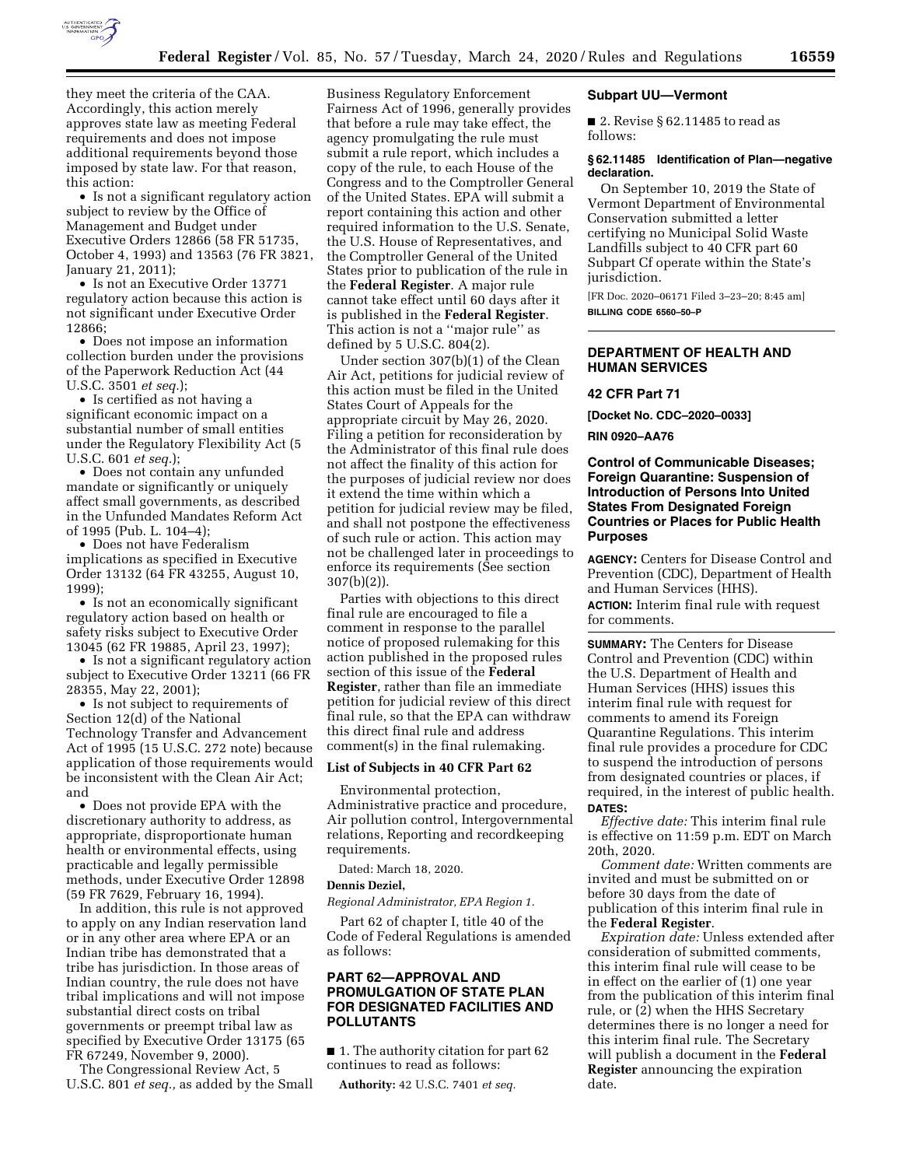

they meet the criteria of the CAA. Accordingly, this action merely approves state law as meeting Federal requirements and does not impose additional requirements beyond those imposed by state law. For that reason, this action:

• Is not a significant regulatory action subject to review by the Office of Management and Budget under Executive Orders 12866 (58 FR 51735, October 4, 1993) and 13563 (76 FR 3821, January 21, 2011);

• Is not an Executive Order 13771 regulatory action because this action is not significant under Executive Order 12866;

• Does not impose an information collection burden under the provisions of the Paperwork Reduction Act (44 U.S.C. 3501 *et seq.*);

• Is certified as not having a significant economic impact on a substantial number of small entities under the Regulatory Flexibility Act (5 U.S.C. 601 *et seq.*);

• Does not contain any unfunded mandate or significantly or uniquely affect small governments, as described in the Unfunded Mandates Reform Act of 1995 (Pub. L. 104–4);

• Does not have Federalism implications as specified in Executive Order 13132 (64 FR 43255, August 10, 1999);

• Is not an economically significant regulatory action based on health or safety risks subject to Executive Order 13045 (62 FR 19885, April 23, 1997);

• Is not a significant regulatory action subject to Executive Order 13211 (66 FR 28355, May 22, 2001);

• Is not subject to requirements of Section 12(d) of the National Technology Transfer and Advancement Act of 1995 (15 U.S.C. 272 note) because application of those requirements would be inconsistent with the Clean Air Act; and

• Does not provide EPA with the discretionary authority to address, as appropriate, disproportionate human health or environmental effects, using practicable and legally permissible methods, under Executive Order 12898 (59 FR 7629, February 16, 1994).

In addition, this rule is not approved to apply on any Indian reservation land or in any other area where EPA or an Indian tribe has demonstrated that a tribe has jurisdiction. In those areas of Indian country, the rule does not have tribal implications and will not impose substantial direct costs on tribal governments or preempt tribal law as specified by Executive Order 13175 (65 FR 67249, November 9, 2000).

The Congressional Review Act, 5 U.S.C. 801 *et seq.,* as added by the Small

Business Regulatory Enforcement Fairness Act of 1996, generally provides that before a rule may take effect, the agency promulgating the rule must submit a rule report, which includes a copy of the rule, to each House of the Congress and to the Comptroller General of the United States. EPA will submit a report containing this action and other required information to the U.S. Senate, the U.S. House of Representatives, and the Comptroller General of the United States prior to publication of the rule in the **Federal Register**. A major rule cannot take effect until 60 days after it is published in the **Federal Register**. This action is not a ''major rule'' as defined by 5 U.S.C. 804(2).

Under section 307(b)(1) of the Clean Air Act, petitions for judicial review of this action must be filed in the United States Court of Appeals for the appropriate circuit by May 26, 2020. Filing a petition for reconsideration by the Administrator of this final rule does not affect the finality of this action for the purposes of judicial review nor does it extend the time within which a petition for judicial review may be filed, and shall not postpone the effectiveness of such rule or action. This action may not be challenged later in proceedings to enforce its requirements (See section 307(b)(2)).

Parties with objections to this direct final rule are encouraged to file a comment in response to the parallel notice of proposed rulemaking for this action published in the proposed rules section of this issue of the **Federal Register**, rather than file an immediate petition for judicial review of this direct final rule, so that the EPA can withdraw this direct final rule and address comment(s) in the final rulemaking.

### **List of Subjects in 40 CFR Part 62**

Environmental protection, Administrative practice and procedure, Air pollution control, Intergovernmental relations, Reporting and recordkeeping requirements.

Dated: March 18, 2020.

#### **Dennis Deziel,**

*Regional Administrator, EPA Region 1.* 

Part 62 of chapter I, title 40 of the Code of Federal Regulations is amended as follows:

# **PART 62—APPROVAL AND PROMULGATION OF STATE PLAN FOR DESIGNATED FACILITIES AND POLLUTANTS**

■ 1. The authority citation for part 62 continues to read as follows:

**Authority:** 42 U.S.C. 7401 *et seq.* 

#### **Subpart UU—Vermont**

■ 2. Revise § 62.11485 to read as follows:

### **§ 62.11485 Identification of Plan—negative declaration.**

On September 10, 2019 the State of Vermont Department of Environmental Conservation submitted a letter certifying no Municipal Solid Waste Landfills subject to 40 CFR part 60 Subpart Cf operate within the State's jurisdiction.

[FR Doc. 2020–06171 Filed 3–23–20; 8:45 am] **BILLING CODE 6560–50–P** 

### **DEPARTMENT OF HEALTH AND HUMAN SERVICES**

### **42 CFR Part 71**

**[Docket No. CDC–2020–0033]** 

#### **RIN 0920–AA76**

# **Control of Communicable Diseases; Foreign Quarantine: Suspension of Introduction of Persons Into United States From Designated Foreign Countries or Places for Public Health Purposes**

**AGENCY:** Centers for Disease Control and Prevention (CDC), Department of Health and Human Services (HHS). **ACTION:** Interim final rule with request for comments.

**SUMMARY:** The Centers for Disease Control and Prevention (CDC) within the U.S. Department of Health and Human Services (HHS) issues this interim final rule with request for comments to amend its Foreign Quarantine Regulations. This interim final rule provides a procedure for CDC to suspend the introduction of persons from designated countries or places, if required, in the interest of public health. **DATES:** 

*Effective date:* This interim final rule is effective on 11:59 p.m. EDT on March 20th, 2020.

*Comment date:* Written comments are invited and must be submitted on or before 30 days from the date of publication of this interim final rule in the **Federal Register**.

*Expiration date:* Unless extended after consideration of submitted comments, this interim final rule will cease to be in effect on the earlier of (1) one year from the publication of this interim final rule, or (2) when the HHS Secretary determines there is no longer a need for this interim final rule. The Secretary will publish a document in the **Federal Register** announcing the expiration date.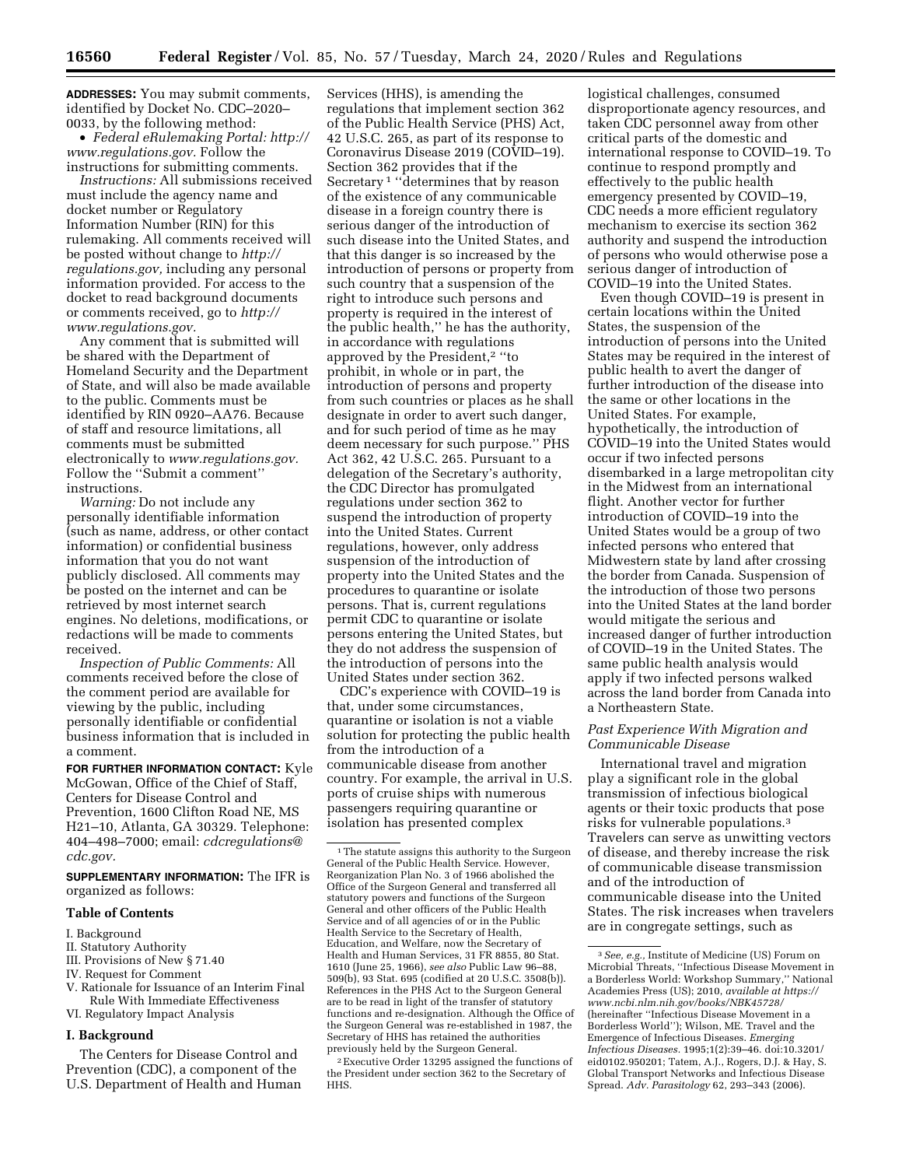**ADDRESSES:** You may submit comments, identified by Docket No. CDC–2020– 0033, by the following method:

• *Federal eRulemaking Portal: [http://](http://www.regulations.gov)  [www.regulations.gov.](http://www.regulations.gov)* Follow the instructions for submitting comments.

*Instructions:* All submissions received must include the agency name and docket number or Regulatory Information Number (RIN) for this rulemaking. All comments received will be posted without change to *[http://](http://regulations.gov) [regulations.gov,](http://regulations.gov)* including any personal information provided. For access to the docket to read background documents or comments received, go to *[http://](http://www.regulations.gov) [www.regulations.gov.](http://www.regulations.gov)* 

Any comment that is submitted will be shared with the Department of Homeland Security and the Department of State, and will also be made available to the public. Comments must be identified by RIN 0920–AA76. Because of staff and resource limitations, all comments must be submitted electronically to *[www.regulations.gov.](http://www.regulations.gov)*  Follow the ''Submit a comment'' instructions.

*Warning:* Do not include any personally identifiable information (such as name, address, or other contact information) or confidential business information that you do not want publicly disclosed. All comments may be posted on the internet and can be retrieved by most internet search engines. No deletions, modifications, or redactions will be made to comments received.

*Inspection of Public Comments:* All comments received before the close of the comment period are available for viewing by the public, including personally identifiable or confidential business information that is included in a comment.

**FOR FURTHER INFORMATION CONTACT:** Kyle McGowan, Office of the Chief of Staff, Centers for Disease Control and Prevention, 1600 Clifton Road NE, MS H21–10, Atlanta, GA 30329. Telephone: 404–498–7000; email: *[cdcregulations@](mailto:cdcregulations@cdc.gov) [cdc.gov.](mailto:cdcregulations@cdc.gov)* 

**SUPPLEMENTARY INFORMATION:** The IFR is organized as follows:

#### **Table of Contents**

#### I. Background

- II. Statutory Authority
- III. Provisions of New § 71.40
- IV. Request for Comment
- V. Rationale for Issuance of an Interim Final Rule With Immediate Effectiveness
- VI. Regulatory Impact Analysis

### **I. Background**

The Centers for Disease Control and Prevention (CDC), a component of the U.S. Department of Health and Human

Services (HHS), is amending the regulations that implement section 362 of the Public Health Service (PHS) Act, 42 U.S.C. 265, as part of its response to Coronavirus Disease 2019 (COVID–19). Section 362 provides that if the Secretary 1 ''determines that by reason of the existence of any communicable disease in a foreign country there is serious danger of the introduction of such disease into the United States, and that this danger is so increased by the introduction of persons or property from such country that a suspension of the right to introduce such persons and property is required in the interest of the public health,'' he has the authority, in accordance with regulations approved by the President,2 ''to prohibit, in whole or in part, the introduction of persons and property from such countries or places as he shall designate in order to avert such danger, and for such period of time as he may deem necessary for such purpose.'' PHS Act 362, 42 U.S.C. 265. Pursuant to a delegation of the Secretary's authority, the CDC Director has promulgated regulations under section 362 to suspend the introduction of property into the United States. Current regulations, however, only address suspension of the introduction of property into the United States and the procedures to quarantine or isolate persons. That is, current regulations permit CDC to quarantine or isolate persons entering the United States, but they do not address the suspension of the introduction of persons into the United States under section 362.

CDC's experience with COVID–19 is that, under some circumstances, quarantine or isolation is not a viable solution for protecting the public health from the introduction of a communicable disease from another country. For example, the arrival in U.S. ports of cruise ships with numerous passengers requiring quarantine or isolation has presented complex

2Executive Order 13295 assigned the functions of the President under section 362 to the Secretary of HHS.

logistical challenges, consumed disproportionate agency resources, and taken CDC personnel away from other critical parts of the domestic and international response to COVID–19. To continue to respond promptly and effectively to the public health emergency presented by COVID–19, CDC needs a more efficient regulatory mechanism to exercise its section 362 authority and suspend the introduction of persons who would otherwise pose a serious danger of introduction of COVID–19 into the United States.

Even though COVID–19 is present in certain locations within the United States, the suspension of the introduction of persons into the United States may be required in the interest of public health to avert the danger of further introduction of the disease into the same or other locations in the United States. For example, hypothetically, the introduction of COVID–19 into the United States would occur if two infected persons disembarked in a large metropolitan city in the Midwest from an international flight. Another vector for further introduction of COVID–19 into the United States would be a group of two infected persons who entered that Midwestern state by land after crossing the border from Canada. Suspension of the introduction of those two persons into the United States at the land border would mitigate the serious and increased danger of further introduction of COVID–19 in the United States. The same public health analysis would apply if two infected persons walked across the land border from Canada into a Northeastern State.

# *Past Experience With Migration and Communicable Disease*

International travel and migration play a significant role in the global transmission of infectious biological agents or their toxic products that pose risks for vulnerable populations.3 Travelers can serve as unwitting vectors of disease, and thereby increase the risk of communicable disease transmission and of the introduction of communicable disease into the United States. The risk increases when travelers are in congregate settings, such as

<sup>&</sup>lt;sup>1</sup>The statute assigns this authority to the Surgeon General of the Public Health Service. However, Reorganization Plan No. 3 of 1966 abolished the Office of the Surgeon General and transferred all statutory powers and functions of the Surgeon General and other officers of the Public Health Service and of all agencies of or in the Public Health Service to the Secretary of Health, Education, and Welfare, now the Secretary of Health and Human Services, 31 FR 8855, 80 Stat. 1610 (June 25, 1966), *see also* Public Law 96–88, 509(b), 93 Stat. 695 (codified at 20 U.S.C. 3508(b)). References in the PHS Act to the Surgeon General are to be read in light of the transfer of statutory functions and re-designation. Although the Office of the Surgeon General was re-established in 1987, the Secretary of HHS has retained the authorities previously held by the Surgeon General.

<sup>3</sup>*See, e.g.,* Institute of Medicine (US) Forum on Microbial Threats, ''Infectious Disease Movement in a Borderless World: Workshop Summary,'' National Academies Press (US); 2010, *available at [https://](https://www.ncbi.nlm.nih.gov/books/NBK45728/) [www.ncbi.nlm.nih.gov/books/NBK45728/](https://www.ncbi.nlm.nih.gov/books/NBK45728/)*  (hereinafter ''Infectious Disease Movement in a Borderless World''); Wilson, ME. Travel and the Emergence of Infectious Diseases. *Emerging Infectious Diseases.* 1995;1(2):39–46. doi:10.3201/ eid0102.950201; Tatem, A.J., Rogers, D.J. & Hay, S. Global Transport Networks and Infectious Disease Spread. *Adv. Parasitology* 62, 293–343 (2006).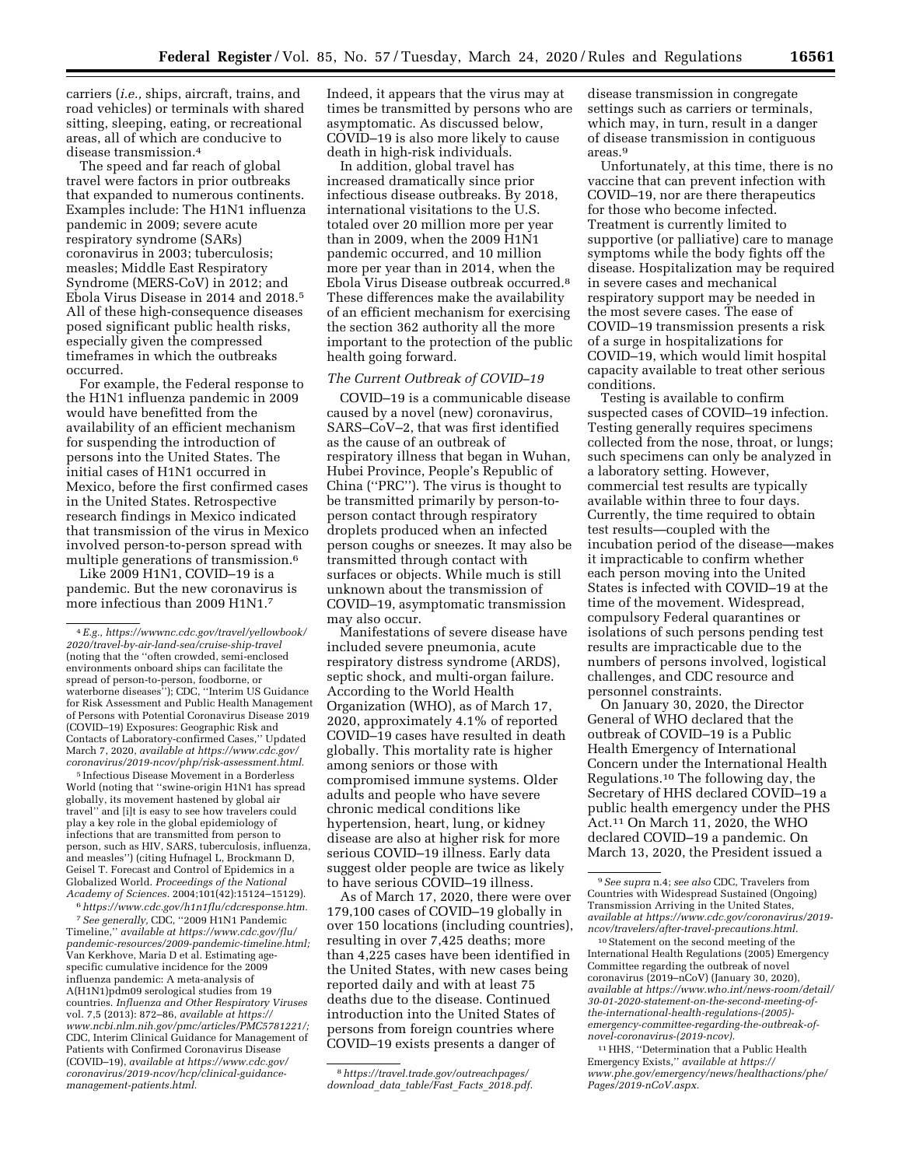carriers (*i.e.,* ships, aircraft, trains, and road vehicles) or terminals with shared sitting, sleeping, eating, or recreational areas, all of which are conducive to disease transmission.4

The speed and far reach of global travel were factors in prior outbreaks that expanded to numerous continents. Examples include: The H1N1 influenza pandemic in 2009; severe acute respiratory syndrome (SARs) coronavirus in 2003; tuberculosis; measles; Middle East Respiratory Syndrome (MERS-CoV) in 2012; and Ebola Virus Disease in 2014 and 2018.5 All of these high-consequence diseases posed significant public health risks, especially given the compressed timeframes in which the outbreaks occurred.

For example, the Federal response to the H1N1 influenza pandemic in 2009 would have benefitted from the availability of an efficient mechanism for suspending the introduction of persons into the United States. The initial cases of H1N1 occurred in Mexico, before the first confirmed cases in the United States. Retrospective research findings in Mexico indicated that transmission of the virus in Mexico involved person-to-person spread with multiple generations of transmission.<sup>6</sup>

Like 2009 H1N1, COVID–19 is a pandemic. But the new coronavirus is more infectious than 2009 H1N1.<sup>7</sup>

5 Infectious Disease Movement in a Borderless World (noting that ''swine-origin H1N1 has spread globally, its movement hastened by global air travel'' and [i]t is easy to see how travelers could play a key role in the global epidemiology of infections that are transmitted from person to person, such as HIV, SARS, tuberculosis, influenza, and measles'') (citing Hufnagel L, Brockmann D, Geisel T. Forecast and Control of Epidemics in a Globalized World. *Proceedings of the National Academy of Sciences.* 2004;101(42):15124–15129).

6*[https://www.cdc.gov/h1n1flu/cdcresponse.htm.](https://www.cdc.gov/h1n1flu/cdcresponse.htm)* 

7*See generally,* CDC, ''2009 H1N1 Pandemic Timeline,'' *available at [https://www.cdc.gov/flu/](https://www.cdc.gov/flu/pandemic-resources/2009-pandemic-timeline.html) [pandemic-resources/2009-pandemic-timeline.html;](https://www.cdc.gov/flu/pandemic-resources/2009-pandemic-timeline.html)*  Van Kerkhove, Maria D et al. Estimating agespecific cumulative incidence for the 2009 influenza pandemic: A meta-analysis of A(H1N1)pdm09 serological studies from 19 countries. *Influenza and Other Respiratory Viruses*  vol. 7,5 (2013): 872–86, *available at [https://](https://www.ncbi.nlm.nih.gov/pmc/articles/PMC5781221/) [www.ncbi.nlm.nih.gov/pmc/articles/PMC5781221/;](https://www.ncbi.nlm.nih.gov/pmc/articles/PMC5781221/)*  CDC, Interim Clinical Guidance for Management of Patients with Confirmed Coronavirus Disease (COVID–19), *available at [https://www.cdc.gov/](https://www.cdc.gov/coronavirus/2019-ncov/hcp/clinical-guidance-management-patients.html)  [coronavirus/2019-ncov/hcp/clinical-guidance](https://www.cdc.gov/coronavirus/2019-ncov/hcp/clinical-guidance-management-patients.html)[management-patients.html.](https://www.cdc.gov/coronavirus/2019-ncov/hcp/clinical-guidance-management-patients.html)* 

Indeed, it appears that the virus may at times be transmitted by persons who are asymptomatic. As discussed below, COVID–19 is also more likely to cause death in high-risk individuals.

In addition, global travel has increased dramatically since prior infectious disease outbreaks. By 2018, international visitations to the U.S. totaled over 20 million more per year than in 2009, when the 2009 H1N1 pandemic occurred, and 10 million more per year than in 2014, when the Ebola Virus Disease outbreak occurred.8 These differences make the availability of an efficient mechanism for exercising the section 362 authority all the more important to the protection of the public health going forward.

### *The Current Outbreak of COVID–19*

COVID–19 is a communicable disease caused by a novel (new) coronavirus, SARS–CoV–2, that was first identified as the cause of an outbreak of respiratory illness that began in Wuhan, Hubei Province, People's Republic of China (''PRC''). The virus is thought to be transmitted primarily by person-toperson contact through respiratory droplets produced when an infected person coughs or sneezes. It may also be transmitted through contact with surfaces or objects. While much is still unknown about the transmission of COVID–19, asymptomatic transmission may also occur.

Manifestations of severe disease have included severe pneumonia, acute respiratory distress syndrome (ARDS), septic shock, and multi-organ failure. According to the World Health Organization (WHO), as of March 17, 2020, approximately 4.1% of reported COVID–19 cases have resulted in death globally. This mortality rate is higher among seniors or those with compromised immune systems. Older adults and people who have severe chronic medical conditions like hypertension, heart, lung, or kidney disease are also at higher risk for more serious COVID–19 illness. Early data suggest older people are twice as likely to have serious COVID–19 illness.

As of March 17, 2020, there were over 179,100 cases of COVID–19 globally in over 150 locations (including countries), resulting in over 7,425 deaths; more than 4,225 cases have been identified in the United States, with new cases being reported daily and with at least 75 deaths due to the disease. Continued introduction into the United States of persons from foreign countries where COVID–19 exists presents a danger of

disease transmission in congregate settings such as carriers or terminals, which may, in turn, result in a danger of disease transmission in contiguous areas.9

Unfortunately, at this time, there is no vaccine that can prevent infection with COVID–19, nor are there therapeutics for those who become infected. Treatment is currently limited to supportive (or palliative) care to manage symptoms while the body fights off the disease. Hospitalization may be required in severe cases and mechanical respiratory support may be needed in the most severe cases. The ease of COVID–19 transmission presents a risk of a surge in hospitalizations for COVID–19, which would limit hospital capacity available to treat other serious conditions.

Testing is available to confirm suspected cases of COVID–19 infection. Testing generally requires specimens collected from the nose, throat, or lungs; such specimens can only be analyzed in a laboratory setting. However, commercial test results are typically available within three to four days. Currently, the time required to obtain test results—coupled with the incubation period of the disease—makes it impracticable to confirm whether each person moving into the United States is infected with COVID–19 at the time of the movement. Widespread, compulsory Federal quarantines or isolations of such persons pending test results are impracticable due to the numbers of persons involved, logistical challenges, and CDC resource and personnel constraints.

On January 30, 2020, the Director General of WHO declared that the outbreak of COVID–19 is a Public Health Emergency of International Concern under the International Health Regulations.10 The following day, the Secretary of HHS declared COVID–19 a public health emergency under the PHS Act.11 On March 11, 2020, the WHO declared COVID–19 a pandemic. On March 13, 2020, the President issued a

10Statement on the second meeting of the International Health Regulations (2005) Emergency Committee regarding the outbreak of novel coronavirus (2019–nCoV) (January 30, 2020), *available at [https://www.who.int/news-room/detail/](https://www.who.int/news-room/detail/30-01-2020-statement-on-the-second-meeting-of-the-international-health-regulations-(2005)-emergency-committee-regarding-the-outbreak-of-novel-coronavirus-(2019-ncov))  30-01-2020-statement-on-the-second-meeting-ofthe-international-health-regulations-(2005) [emergency-committee-regarding-the-outbreak-of](https://www.who.int/news-room/detail/30-01-2020-statement-on-the-second-meeting-of-the-international-health-regulations-(2005)-emergency-committee-regarding-the-outbreak-of-novel-coronavirus-(2019-ncov))[novel-coronavirus-\(2019-ncov\).](https://www.who.int/news-room/detail/30-01-2020-statement-on-the-second-meeting-of-the-international-health-regulations-(2005)-emergency-committee-regarding-the-outbreak-of-novel-coronavirus-(2019-ncov))* 

11HHS, ''Determination that a Public Health Emergency Exists,'' *available at [https://](https://www.phe.gov/emergency/news/healthactions/phe/Pages/2019-nCoV.aspx) [www.phe.gov/emergency/news/healthactions/phe/](https://www.phe.gov/emergency/news/healthactions/phe/Pages/2019-nCoV.aspx)  [Pages/2019-nCoV.aspx.](https://www.phe.gov/emergency/news/healthactions/phe/Pages/2019-nCoV.aspx)* 

<sup>4</sup>*E.g., [https://wwwnc.cdc.gov/travel/yellowbook/](https://wwwnc.cdc.gov/travel/yellowbook/2020/travel-by-air-land-sea/cruise-ship-travel) [2020/travel-by-air-land-sea/cruise-ship-travel](https://wwwnc.cdc.gov/travel/yellowbook/2020/travel-by-air-land-sea/cruise-ship-travel)*  (noting that the ''often crowded, semi-enclosed environments onboard ships can facilitate the spread of person-to-person, foodborne, or waterborne diseases''); CDC, ''Interim US Guidance for Risk Assessment and Public Health Management of Persons with Potential Coronavirus Disease 2019 (COVID–19) Exposures: Geographic Risk and Contacts of Laboratory-confirmed Cases,'' Updated March 7, 2020, *available at [https://www.cdc.gov/](https://www.cdc.gov/coronavirus/2019-ncov/php/risk-assessment.html)  [coronavirus/2019-ncov/php/risk-assessment.html.](https://www.cdc.gov/coronavirus/2019-ncov/php/risk-assessment.html)* 

<sup>8</sup>*[https://travel.trade.gov/outreachpages/](https://travel.trade.gov/outreachpages/download_data_table/Fast_Facts_2018.pdf)  [download](https://travel.trade.gov/outreachpages/download_data_table/Fast_Facts_2018.pdf)*\_*data*\_*table/Fast*\_*Facts*\_*2018.pdf.* 

<sup>9</sup>*See supra* n.4; *see also* CDC, Travelers from Countries with Widespread Sustained (Ongoing) Transmission Arriving in the United States, *available at [https://www.cdc.gov/coronavirus/2019](https://www.cdc.gov/coronavirus/2019-ncov/travelers/after-travel-precautions.html)  [ncov/travelers/after-travel-precautions.html.](https://www.cdc.gov/coronavirus/2019-ncov/travelers/after-travel-precautions.html)*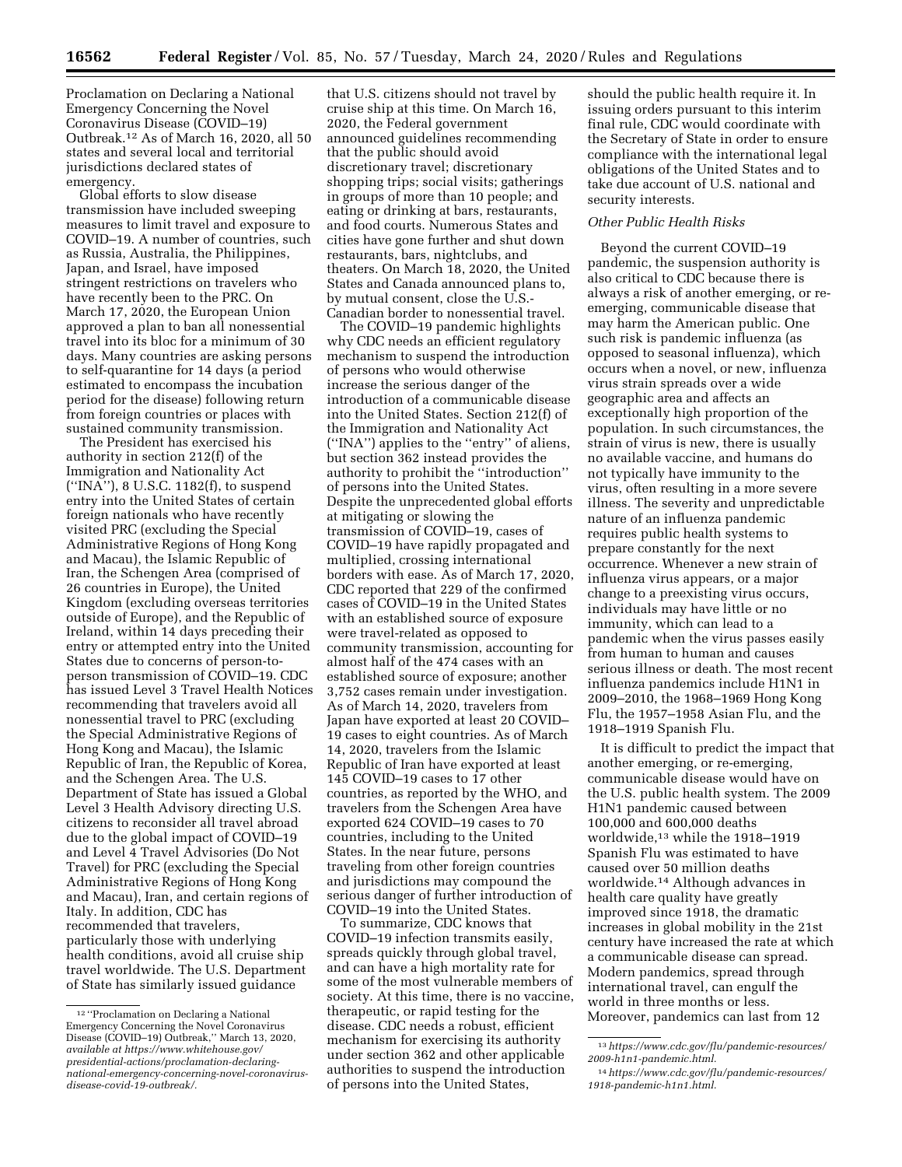Proclamation on Declaring a National Emergency Concerning the Novel Coronavirus Disease (COVID–19) Outbreak.12 As of March 16, 2020, all 50 states and several local and territorial jurisdictions declared states of emergency.

Global efforts to slow disease transmission have included sweeping measures to limit travel and exposure to COVID–19. A number of countries, such as Russia, Australia, the Philippines, Japan, and Israel, have imposed stringent restrictions on travelers who have recently been to the PRC. On March 17, 2020, the European Union approved a plan to ban all nonessential travel into its bloc for a minimum of 30 days. Many countries are asking persons to self-quarantine for 14 days (a period estimated to encompass the incubation period for the disease) following return from foreign countries or places with sustained community transmission.

The President has exercised his authority in section 212(f) of the Immigration and Nationality Act (''INA''), 8 U.S.C. 1182(f), to suspend entry into the United States of certain foreign nationals who have recently visited PRC (excluding the Special Administrative Regions of Hong Kong and Macau), the Islamic Republic of Iran, the Schengen Area (comprised of 26 countries in Europe), the United Kingdom (excluding overseas territories outside of Europe), and the Republic of Ireland, within 14 days preceding their entry or attempted entry into the United States due to concerns of person-toperson transmission of COVID–19. CDC has issued Level 3 Travel Health Notices recommending that travelers avoid all nonessential travel to PRC (excluding the Special Administrative Regions of Hong Kong and Macau), the Islamic Republic of Iran, the Republic of Korea, and the Schengen Area. The U.S. Department of State has issued a Global Level 3 Health Advisory directing U.S. citizens to reconsider all travel abroad due to the global impact of COVID–19 and Level 4 Travel Advisories (Do Not Travel) for PRC (excluding the Special Administrative Regions of Hong Kong and Macau), Iran, and certain regions of Italy. In addition, CDC has recommended that travelers, particularly those with underlying health conditions, avoid all cruise ship travel worldwide. The U.S. Department of State has similarly issued guidance

that U.S. citizens should not travel by cruise ship at this time. On March 16, 2020, the Federal government announced guidelines recommending that the public should avoid discretionary travel; discretionary shopping trips; social visits; gatherings in groups of more than 10 people; and eating or drinking at bars, restaurants, and food courts. Numerous States and cities have gone further and shut down restaurants, bars, nightclubs, and theaters. On March 18, 2020, the United States and Canada announced plans to, by mutual consent, close the U.S.- Canadian border to nonessential travel.

The COVID–19 pandemic highlights why CDC needs an efficient regulatory mechanism to suspend the introduction of persons who would otherwise increase the serious danger of the introduction of a communicable disease into the United States. Section 212(f) of the Immigration and Nationality Act (''INA'') applies to the ''entry'' of aliens, but section 362 instead provides the authority to prohibit the ''introduction'' of persons into the United States. Despite the unprecedented global efforts at mitigating or slowing the transmission of COVID–19, cases of COVID–19 have rapidly propagated and multiplied, crossing international borders with ease. As of March 17, 2020, CDC reported that 229 of the confirmed cases of COVID–19 in the United States with an established source of exposure were travel-related as opposed to community transmission, accounting for almost half of the 474 cases with an established source of exposure; another 3,752 cases remain under investigation. As of March 14, 2020, travelers from Japan have exported at least 20 COVID– 19 cases to eight countries. As of March 14, 2020, travelers from the Islamic Republic of Iran have exported at least 145 COVID–19 cases to 17 other countries, as reported by the WHO, and travelers from the Schengen Area have exported 624 COVID–19 cases to 70 countries, including to the United States. In the near future, persons traveling from other foreign countries and jurisdictions may compound the serious danger of further introduction of COVID–19 into the United States.

To summarize, CDC knows that COVID–19 infection transmits easily, spreads quickly through global travel, and can have a high mortality rate for some of the most vulnerable members of society. At this time, there is no vaccine, therapeutic, or rapid testing for the disease. CDC needs a robust, efficient mechanism for exercising its authority under section 362 and other applicable authorities to suspend the introduction of persons into the United States,

should the public health require it. In issuing orders pursuant to this interim final rule, CDC would coordinate with the Secretary of State in order to ensure compliance with the international legal obligations of the United States and to take due account of U.S. national and security interests.

#### *Other Public Health Risks*

Beyond the current COVID–19 pandemic, the suspension authority is also critical to CDC because there is always a risk of another emerging, or reemerging, communicable disease that may harm the American public. One such risk is pandemic influenza (as opposed to seasonal influenza), which occurs when a novel, or new, influenza virus strain spreads over a wide geographic area and affects an exceptionally high proportion of the population. In such circumstances, the strain of virus is new, there is usually no available vaccine, and humans do not typically have immunity to the virus, often resulting in a more severe illness. The severity and unpredictable nature of an influenza pandemic requires public health systems to prepare constantly for the next occurrence. Whenever a new strain of influenza virus appears, or a major change to a preexisting virus occurs, individuals may have little or no immunity, which can lead to a pandemic when the virus passes easily from human to human and causes serious illness or death. The most recent influenza pandemics include H1N1 in 2009–2010, the 1968–1969 Hong Kong Flu, the 1957–1958 Asian Flu, and the 1918–1919 Spanish Flu.

It is difficult to predict the impact that another emerging, or re-emerging, communicable disease would have on the U.S. public health system. The 2009 H1N1 pandemic caused between 100,000 and 600,000 deaths worldwide,13 while the 1918–1919 Spanish Flu was estimated to have caused over 50 million deaths worldwide.14 Although advances in health care quality have greatly improved since 1918, the dramatic increases in global mobility in the 21st century have increased the rate at which a communicable disease can spread. Modern pandemics, spread through international travel, can engulf the world in three months or less. Moreover, pandemics can last from 12

<sup>12</sup> ''Proclamation on Declaring a National Emergency Concerning the Novel Coronavirus Disease (COVID–19) Outbreak,'' March 13, 2020, *available at [https://www.whitehouse.gov/](https://www.whitehouse.gov/presidential-actions/proclamation-declaring-national-emergency-concerning-novel-coronavirus-disease-covid-19-outbreak/)  presidential-actions/proclamation-declaring[national-emergency-concerning-novel-coronavirus](https://www.whitehouse.gov/presidential-actions/proclamation-declaring-national-emergency-concerning-novel-coronavirus-disease-covid-19-outbreak/)[disease-covid-19-outbreak/.](https://www.whitehouse.gov/presidential-actions/proclamation-declaring-national-emergency-concerning-novel-coronavirus-disease-covid-19-outbreak/)* 

<sup>13</sup>*[https://www.cdc.gov/flu/pandemic-resources/](https://www.cdc.gov/flu/pandemic-resources/2009-h1n1-pandemic.html)  [2009-h1n1-pandemic.html.](https://www.cdc.gov/flu/pandemic-resources/2009-h1n1-pandemic.html)* 

<sup>14</sup>*[https://www.cdc.gov/flu/pandemic-resources/](https://www.cdc.gov/flu/pandemic-resources/1918-pandemic-h1n1.html)  [1918-pandemic-h1n1.html.](https://www.cdc.gov/flu/pandemic-resources/1918-pandemic-h1n1.html)*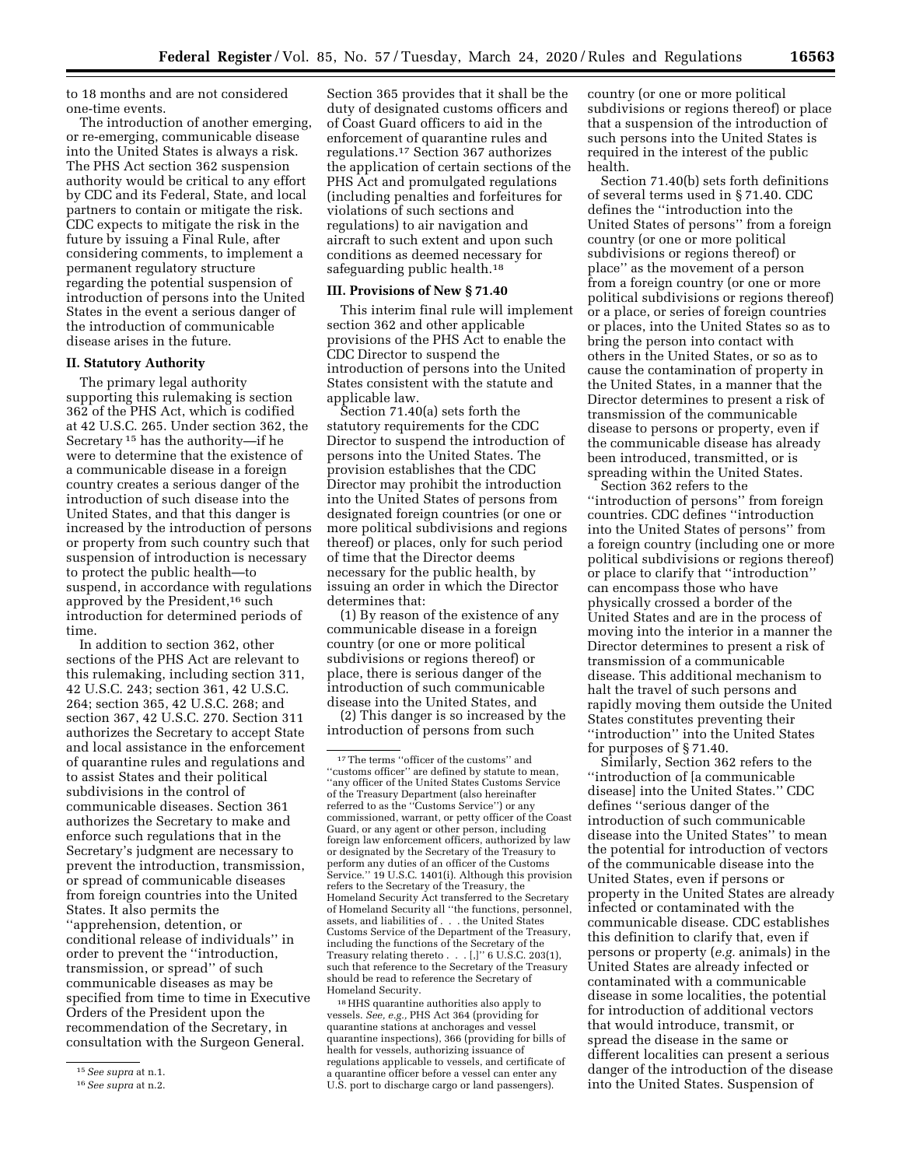to 18 months and are not considered one-time events.

The introduction of another emerging, or re-emerging, communicable disease into the United States is always a risk. The PHS Act section 362 suspension authority would be critical to any effort by CDC and its Federal, State, and local partners to contain or mitigate the risk. CDC expects to mitigate the risk in the future by issuing a Final Rule, after considering comments, to implement a permanent regulatory structure regarding the potential suspension of introduction of persons into the United States in the event a serious danger of the introduction of communicable disease arises in the future.

### **II. Statutory Authority**

The primary legal authority supporting this rulemaking is section 362 of the PHS Act, which is codified at 42 U.S.C. 265. Under section 362, the Secretary 15 has the authority—if he were to determine that the existence of a communicable disease in a foreign country creates a serious danger of the introduction of such disease into the United States, and that this danger is increased by the introduction of persons or property from such country such that suspension of introduction is necessary to protect the public health—to suspend, in accordance with regulations approved by the President,16 such introduction for determined periods of time.

In addition to section 362, other sections of the PHS Act are relevant to this rulemaking, including section 311, 42 U.S.C. 243; section 361, 42 U.S.C. 264; section 365, 42 U.S.C. 268; and section 367, 42 U.S.C. 270. Section 311 authorizes the Secretary to accept State and local assistance in the enforcement of quarantine rules and regulations and to assist States and their political subdivisions in the control of communicable diseases. Section 361 authorizes the Secretary to make and enforce such regulations that in the Secretary's judgment are necessary to prevent the introduction, transmission, or spread of communicable diseases from foreign countries into the United States. It also permits the ''apprehension, detention, or conditional release of individuals'' in order to prevent the ''introduction, transmission, or spread'' of such communicable diseases as may be specified from time to time in Executive Orders of the President upon the recommendation of the Secretary, in consultation with the Surgeon General.

Section 365 provides that it shall be the duty of designated customs officers and of Coast Guard officers to aid in the enforcement of quarantine rules and regulations.17 Section 367 authorizes the application of certain sections of the PHS Act and promulgated regulations (including penalties and forfeitures for violations of such sections and regulations) to air navigation and aircraft to such extent and upon such conditions as deemed necessary for safeguarding public health.<sup>18</sup>

#### **III. Provisions of New § 71.40**

This interim final rule will implement section 362 and other applicable provisions of the PHS Act to enable the CDC Director to suspend the introduction of persons into the United States consistent with the statute and applicable law.

Section 71.40(a) sets forth the statutory requirements for the CDC Director to suspend the introduction of persons into the United States. The provision establishes that the CDC Director may prohibit the introduction into the United States of persons from designated foreign countries (or one or more political subdivisions and regions thereof) or places, only for such period of time that the Director deems necessary for the public health, by issuing an order in which the Director determines that:

(1) By reason of the existence of any communicable disease in a foreign country (or one or more political subdivisions or regions thereof) or place, there is serious danger of the introduction of such communicable disease into the United States, and

(2) This danger is so increased by the introduction of persons from such

18HHS quarantine authorities also apply to vessels. *See, e.g.,* PHS Act 364 (providing for quarantine stations at anchorages and vessel quarantine inspections), 366 (providing for bills of health for vessels, authorizing issuance of regulations applicable to vessels, and certificate of a quarantine officer before a vessel can enter any U.S. port to discharge cargo or land passengers).

country (or one or more political subdivisions or regions thereof) or place that a suspension of the introduction of such persons into the United States is required in the interest of the public health.

Section 71.40(b) sets forth definitions of several terms used in § 71.40. CDC defines the ''introduction into the United States of persons'' from a foreign country (or one or more political subdivisions or regions thereof) or place'' as the movement of a person from a foreign country (or one or more political subdivisions or regions thereof) or a place, or series of foreign countries or places, into the United States so as to bring the person into contact with others in the United States, or so as to cause the contamination of property in the United States, in a manner that the Director determines to present a risk of transmission of the communicable disease to persons or property, even if the communicable disease has already been introduced, transmitted, or is spreading within the United States.

Section 362 refers to the ''introduction of persons'' from foreign countries. CDC defines ''introduction into the United States of persons'' from a foreign country (including one or more political subdivisions or regions thereof) or place to clarify that ''introduction'' can encompass those who have physically crossed a border of the United States and are in the process of moving into the interior in a manner the Director determines to present a risk of transmission of a communicable disease. This additional mechanism to halt the travel of such persons and rapidly moving them outside the United States constitutes preventing their ''introduction'' into the United States for purposes of § 71.40.

Similarly, Section 362 refers to the ''introduction of [a communicable disease] into the United States.'' CDC defines ''serious danger of the introduction of such communicable disease into the United States'' to mean the potential for introduction of vectors of the communicable disease into the United States, even if persons or property in the United States are already infected or contaminated with the communicable disease. CDC establishes this definition to clarify that, even if persons or property (*e.g.* animals) in the United States are already infected or contaminated with a communicable disease in some localities, the potential for introduction of additional vectors that would introduce, transmit, or spread the disease in the same or different localities can present a serious danger of the introduction of the disease into the United States. Suspension of

<sup>15</sup>*See supra* at n.1.

<sup>16</sup>*See supra* at n.2.

<sup>17</sup>The terms ''officer of the customs'' and ''customs officer'' are defined by statute to mean, ''any officer of the United States Customs Service of the Treasury Department (also hereinafter referred to as the ''Customs Service'') or any commissioned, warrant, or petty officer of the Coast Guard, or any agent or other person, including foreign law enforcement officers, authorized by law or designated by the Secretary of the Treasury to perform any duties of an officer of the Customs Service.'' 19 U.S.C. 1401(i). Although this provision refers to the Secretary of the Treasury, the Homeland Security Act transferred to the Secretary of Homeland Security all ''the functions, personnel, assets, and liabilities of . . . the United States Customs Service of the Department of the Treasury, including the functions of the Secretary of the Treasury relating thereto . . . [,]'' 6 U.S.C. 203(1), such that reference to the Secretary of the Treasury should be read to reference the Secretary of Homeland Security.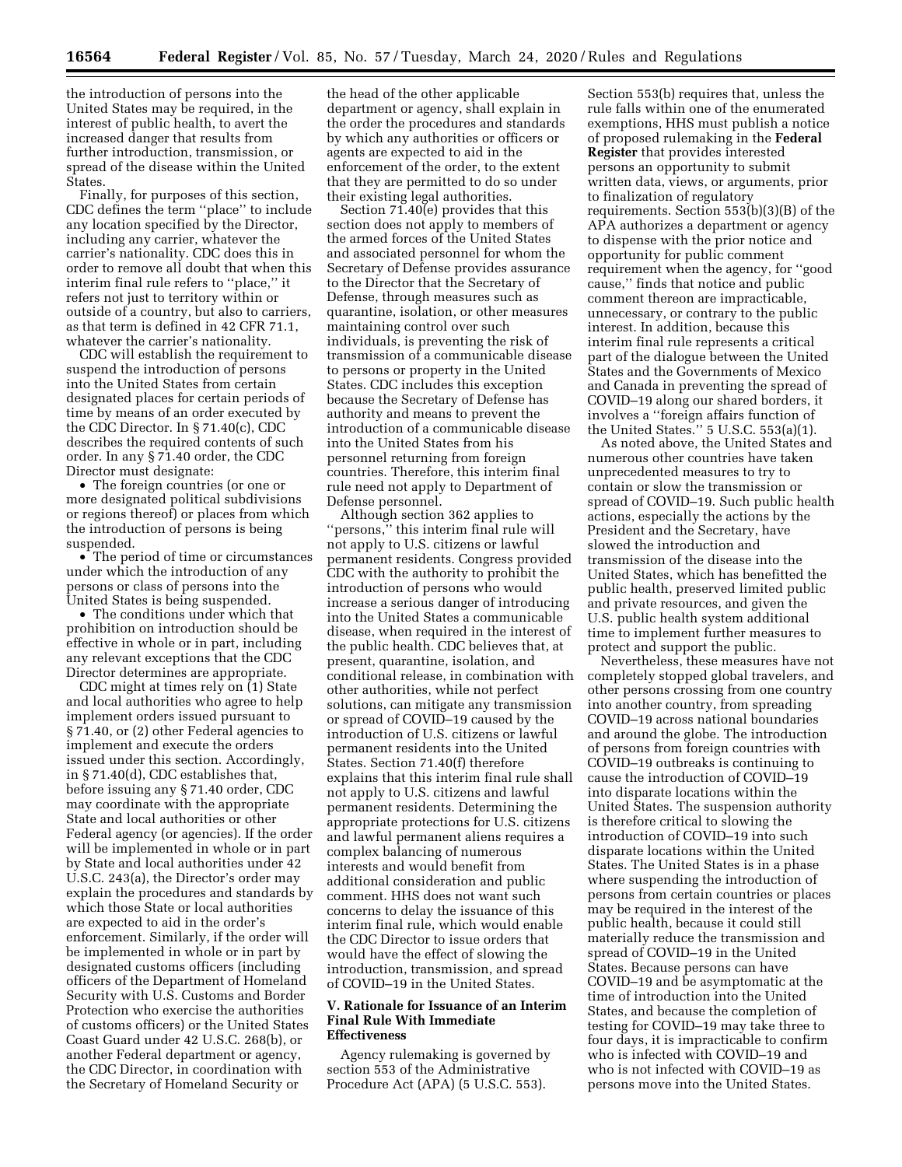the introduction of persons into the United States may be required, in the interest of public health, to avert the increased danger that results from further introduction, transmission, or spread of the disease within the United States.

Finally, for purposes of this section, CDC defines the term ''place'' to include any location specified by the Director, including any carrier, whatever the carrier's nationality. CDC does this in order to remove all doubt that when this interim final rule refers to ''place,'' it refers not just to territory within or outside of a country, but also to carriers, as that term is defined in 42 CFR 71.1, whatever the carrier's nationality.

CDC will establish the requirement to suspend the introduction of persons into the United States from certain designated places for certain periods of time by means of an order executed by the CDC Director. In § 71.40(c), CDC describes the required contents of such order. In any § 71.40 order, the CDC Director must designate:

• The foreign countries (or one or more designated political subdivisions or regions thereof) or places from which the introduction of persons is being suspended.

• The period of time or circumstances under which the introduction of any persons or class of persons into the United States is being suspended.

• The conditions under which that prohibition on introduction should be effective in whole or in part, including any relevant exceptions that the CDC Director determines are appropriate.

CDC might at times rely on (1) State and local authorities who agree to help implement orders issued pursuant to § 71.40, or (2) other Federal agencies to implement and execute the orders issued under this section. Accordingly, in § 71.40(d), CDC establishes that, before issuing any § 71.40 order, CDC may coordinate with the appropriate State and local authorities or other Federal agency (or agencies). If the order will be implemented in whole or in part by State and local authorities under 42 U.S.C. 243(a), the Director's order may explain the procedures and standards by which those State or local authorities are expected to aid in the order's enforcement. Similarly, if the order will be implemented in whole or in part by designated customs officers (including officers of the Department of Homeland Security with U.S. Customs and Border Protection who exercise the authorities of customs officers) or the United States Coast Guard under 42 U.S.C. 268(b), or another Federal department or agency, the CDC Director, in coordination with the Secretary of Homeland Security or

the head of the other applicable department or agency, shall explain in the order the procedures and standards by which any authorities or officers or agents are expected to aid in the enforcement of the order, to the extent that they are permitted to do so under their existing legal authorities.

Section 71.40(e) provides that this section does not apply to members of the armed forces of the United States and associated personnel for whom the Secretary of Defense provides assurance to the Director that the Secretary of Defense, through measures such as quarantine, isolation, or other measures maintaining control over such individuals, is preventing the risk of transmission of a communicable disease to persons or property in the United States. CDC includes this exception because the Secretary of Defense has authority and means to prevent the introduction of a communicable disease into the United States from his personnel returning from foreign countries. Therefore, this interim final rule need not apply to Department of Defense personnel.

Although section 362 applies to ''persons,'' this interim final rule will not apply to U.S. citizens or lawful permanent residents. Congress provided CDC with the authority to prohibit the introduction of persons who would increase a serious danger of introducing into the United States a communicable disease, when required in the interest of the public health. CDC believes that, at present, quarantine, isolation, and conditional release, in combination with other authorities, while not perfect solutions, can mitigate any transmission or spread of COVID–19 caused by the introduction of U.S. citizens or lawful permanent residents into the United States. Section 71.40(f) therefore explains that this interim final rule shall not apply to U.S. citizens and lawful permanent residents. Determining the appropriate protections for U.S. citizens and lawful permanent aliens requires a complex balancing of numerous interests and would benefit from additional consideration and public comment. HHS does not want such concerns to delay the issuance of this interim final rule, which would enable the CDC Director to issue orders that would have the effect of slowing the introduction, transmission, and spread of COVID–19 in the United States.

### **V. Rationale for Issuance of an Interim Final Rule With Immediate Effectiveness**

Agency rulemaking is governed by section 553 of the Administrative Procedure Act (APA) (5 U.S.C. 553).

Section 553(b) requires that, unless the rule falls within one of the enumerated exemptions, HHS must publish a notice of proposed rulemaking in the **Federal Register** that provides interested persons an opportunity to submit written data, views, or arguments, prior to finalization of regulatory requirements. Section 553(b)(3)(B) of the APA authorizes a department or agency to dispense with the prior notice and opportunity for public comment requirement when the agency, for ''good cause,'' finds that notice and public comment thereon are impracticable, unnecessary, or contrary to the public interest. In addition, because this interim final rule represents a critical part of the dialogue between the United States and the Governments of Mexico and Canada in preventing the spread of COVID–19 along our shared borders, it involves a ''foreign affairs function of the United States.'' 5 U.S.C. 553(a)(1).

As noted above, the United States and numerous other countries have taken unprecedented measures to try to contain or slow the transmission or spread of COVID–19. Such public health actions, especially the actions by the President and the Secretary, have slowed the introduction and transmission of the disease into the United States, which has benefitted the public health, preserved limited public and private resources, and given the U.S. public health system additional time to implement further measures to protect and support the public.

Nevertheless, these measures have not completely stopped global travelers, and other persons crossing from one country into another country, from spreading COVID–19 across national boundaries and around the globe. The introduction of persons from foreign countries with COVID–19 outbreaks is continuing to cause the introduction of COVID–19 into disparate locations within the United States. The suspension authority is therefore critical to slowing the introduction of COVID–19 into such disparate locations within the United States. The United States is in a phase where suspending the introduction of persons from certain countries or places may be required in the interest of the public health, because it could still materially reduce the transmission and spread of COVID–19 in the United States. Because persons can have COVID–19 and be asymptomatic at the time of introduction into the United States, and because the completion of testing for COVID–19 may take three to four days, it is impracticable to confirm who is infected with COVID–19 and who is not infected with COVID–19 as persons move into the United States.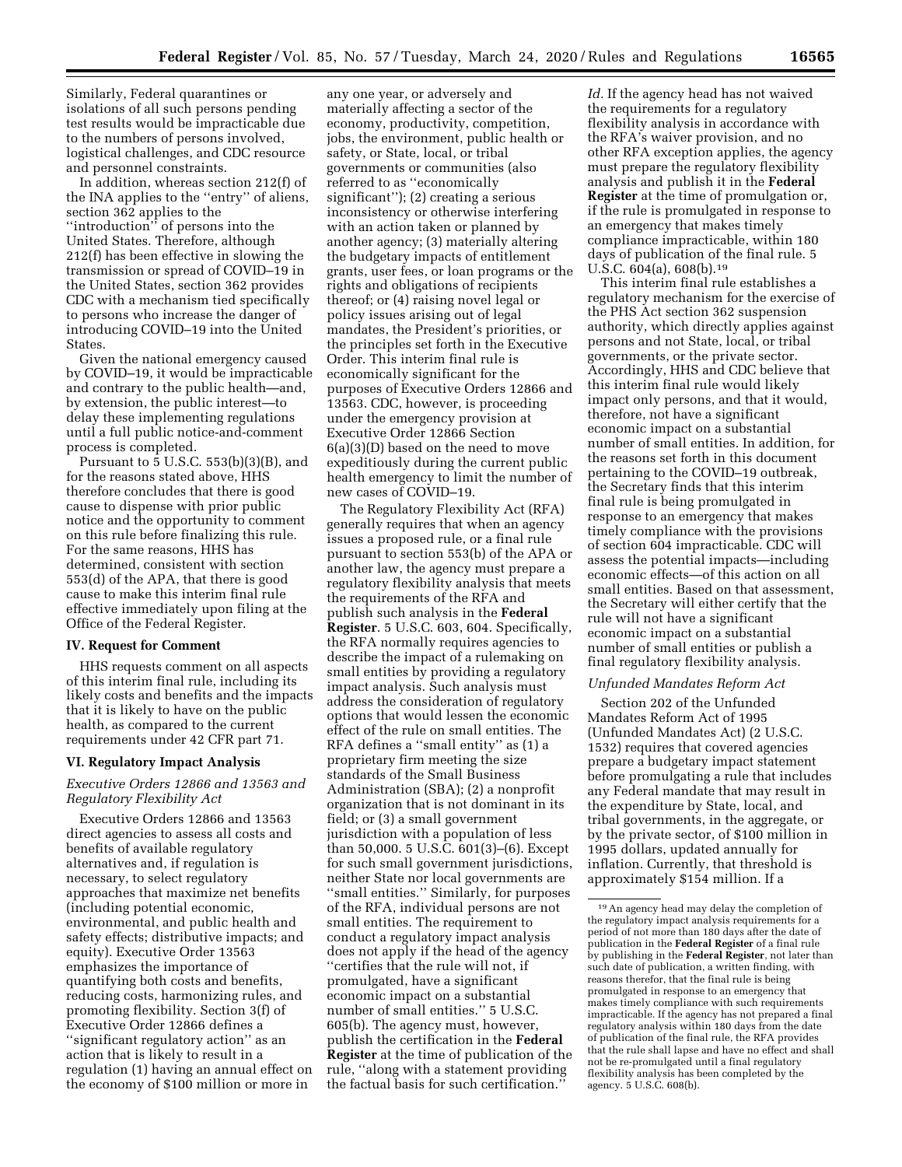Similarly, Federal quarantines or isolations of all such persons pending test results would be impracticable due to the numbers of persons involved, logistical challenges, and CDC resource and personnel constraints.

In addition, whereas section 212(f) of the INA applies to the ''entry'' of aliens, section 362 applies to the ''introduction'' of persons into the United States. Therefore, although 212(f) has been effective in slowing the transmission or spread of COVID–19 in the United States, section 362 provides CDC with a mechanism tied specifically to persons who increase the danger of introducing COVID–19 into the United States.

Given the national emergency caused by COVID–19, it would be impracticable and contrary to the public health—and, by extension, the public interest—to delay these implementing regulations until a full public notice-and-comment process is completed.

Pursuant to 5 U.S.C. 553(b)(3)(B), and for the reasons stated above, HHS therefore concludes that there is good cause to dispense with prior public notice and the opportunity to comment on this rule before finalizing this rule. For the same reasons, HHS has determined, consistent with section 553(d) of the APA, that there is good cause to make this interim final rule effective immediately upon filing at the Office of the Federal Register.

#### **IV. Request for Comment**

HHS requests comment on all aspects of this interim final rule, including its likely costs and benefits and the impacts that it is likely to have on the public health, as compared to the current requirements under 42 CFR part 71.

### **VI. Regulatory Impact Analysis**

# *Executive Orders 12866 and 13563 and Regulatory Flexibility Act*

Executive Orders 12866 and 13563 direct agencies to assess all costs and benefits of available regulatory alternatives and, if regulation is necessary, to select regulatory approaches that maximize net benefits (including potential economic, environmental, and public health and safety effects; distributive impacts; and equity). Executive Order 13563 emphasizes the importance of quantifying both costs and benefits, reducing costs, harmonizing rules, and promoting flexibility. Section 3(f) of Executive Order 12866 defines a ''significant regulatory action'' as an action that is likely to result in a regulation (1) having an annual effect on the economy of \$100 million or more in

any one year, or adversely and materially affecting a sector of the economy, productivity, competition, jobs, the environment, public health or safety, or State, local, or tribal governments or communities (also referred to as ''economically significant''); (2) creating a serious inconsistency or otherwise interfering with an action taken or planned by another agency; (3) materially altering the budgetary impacts of entitlement grants, user fees, or loan programs or the rights and obligations of recipients thereof; or (4) raising novel legal or policy issues arising out of legal mandates, the President's priorities, or the principles set forth in the Executive Order. This interim final rule is economically significant for the purposes of Executive Orders 12866 and 13563. CDC, however, is proceeding under the emergency provision at Executive Order 12866 Section 6(a)(3)(D) based on the need to move expeditiously during the current public health emergency to limit the number of new cases of COVID–19.

The Regulatory Flexibility Act (RFA) generally requires that when an agency issues a proposed rule, or a final rule pursuant to section 553(b) of the APA or another law, the agency must prepare a regulatory flexibility analysis that meets the requirements of the RFA and publish such analysis in the **Federal Register**. 5 U.S.C. 603, 604. Specifically, the RFA normally requires agencies to describe the impact of a rulemaking on small entities by providing a regulatory impact analysis. Such analysis must address the consideration of regulatory options that would lessen the economic effect of the rule on small entities. The RFA defines a ''small entity'' as (1) a proprietary firm meeting the size standards of the Small Business Administration (SBA); (2) a nonprofit organization that is not dominant in its field; or (3) a small government jurisdiction with a population of less than 50,000. 5 U.S.C. 601(3)–(6). Except for such small government jurisdictions, neither State nor local governments are ''small entities.'' Similarly, for purposes of the RFA, individual persons are not small entities. The requirement to conduct a regulatory impact analysis does not apply if the head of the agency ''certifies that the rule will not, if promulgated, have a significant economic impact on a substantial number of small entities.'' 5 U.S.C. 605(b). The agency must, however, publish the certification in the **Federal Register** at the time of publication of the rule, ''along with a statement providing the factual basis for such certification.''

*Id.* If the agency head has not waived the requirements for a regulatory flexibility analysis in accordance with the RFA's waiver provision, and no other RFA exception applies, the agency must prepare the regulatory flexibility analysis and publish it in the **Federal Register** at the time of promulgation or, if the rule is promulgated in response to an emergency that makes timely compliance impracticable, within 180 days of publication of the final rule. 5 U.S.C. 604(a), 608(b).19

This interim final rule establishes a regulatory mechanism for the exercise of the PHS Act section 362 suspension authority, which directly applies against persons and not State, local, or tribal governments, or the private sector. Accordingly, HHS and CDC believe that this interim final rule would likely impact only persons, and that it would, therefore, not have a significant economic impact on a substantial number of small entities. In addition, for the reasons set forth in this document pertaining to the COVID–19 outbreak, the Secretary finds that this interim final rule is being promulgated in response to an emergency that makes timely compliance with the provisions of section 604 impracticable. CDC will assess the potential impacts—including economic effects—of this action on all small entities. Based on that assessment, the Secretary will either certify that the rule will not have a significant economic impact on a substantial number of small entities or publish a final regulatory flexibility analysis.

#### *Unfunded Mandates Reform Act*

Section 202 of the Unfunded Mandates Reform Act of 1995 (Unfunded Mandates Act) (2 U.S.C. 1532) requires that covered agencies prepare a budgetary impact statement before promulgating a rule that includes any Federal mandate that may result in the expenditure by State, local, and tribal governments, in the aggregate, or by the private sector, of \$100 million in 1995 dollars, updated annually for inflation. Currently, that threshold is approximately \$154 million. If a

<sup>19</sup>An agency head may delay the completion of the regulatory impact analysis requirements for a period of not more than 180 days after the date of publication in the **Federal Register** of a final rule by publishing in the **Federal Register**, not later than such date of publication, a written finding, with reasons therefor, that the final rule is being promulgated in response to an emergency that makes timely compliance with such requirements impracticable. If the agency has not prepared a final regulatory analysis within 180 days from the date of publication of the final rule, the RFA provides that the rule shall lapse and have no effect and shall not be re-promulgated until a final regulatory flexibility analysis has been completed by the agency. 5 U.S.C. 608(b).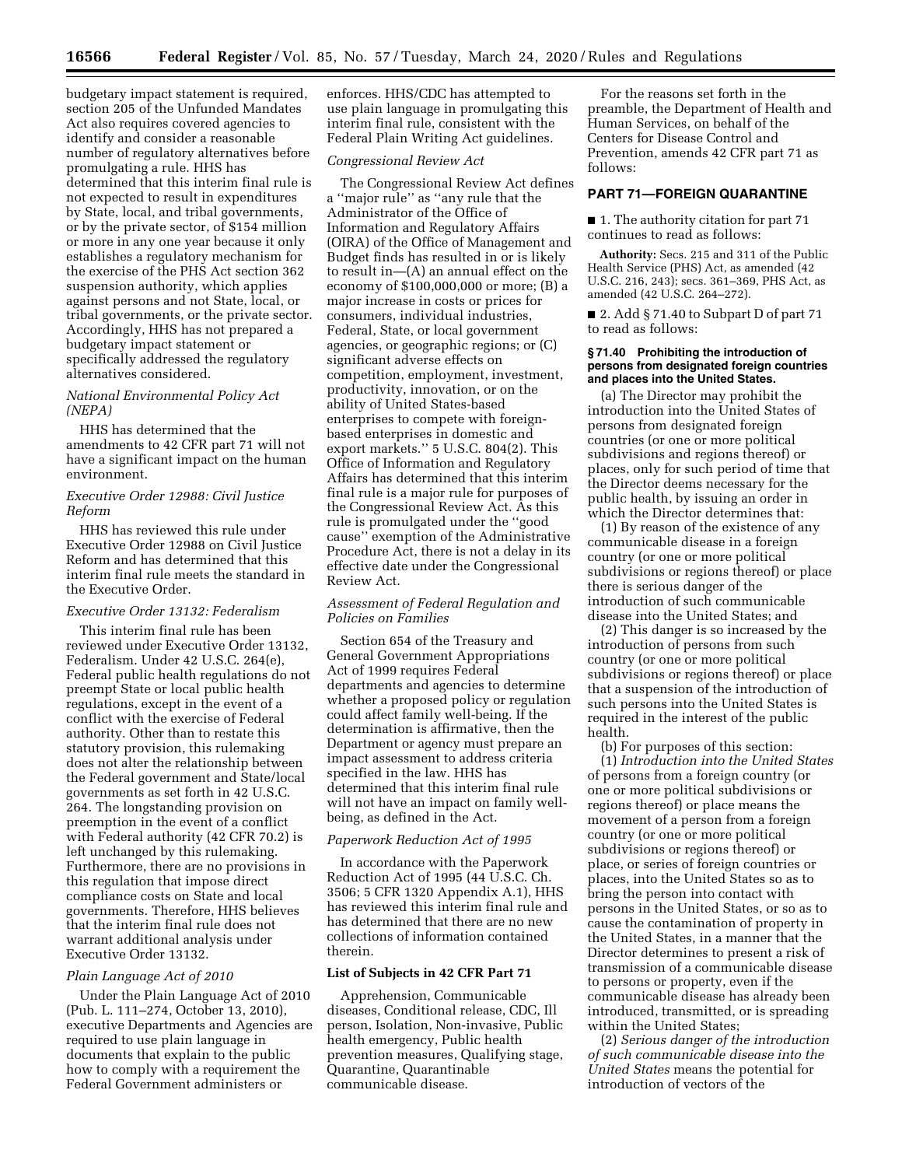budgetary impact statement is required, section 205 of the Unfunded Mandates Act also requires covered agencies to identify and consider a reasonable number of regulatory alternatives before promulgating a rule. HHS has determined that this interim final rule is not expected to result in expenditures by State, local, and tribal governments, or by the private sector, of \$154 million or more in any one year because it only establishes a regulatory mechanism for the exercise of the PHS Act section 362 suspension authority, which applies against persons and not State, local, or tribal governments, or the private sector. Accordingly, HHS has not prepared a budgetary impact statement or specifically addressed the regulatory alternatives considered.

# *National Environmental Policy Act (NEPA)*

HHS has determined that the amendments to 42 CFR part 71 will not have a significant impact on the human environment.

### *Executive Order 12988: Civil Justice Reform*

HHS has reviewed this rule under Executive Order 12988 on Civil Justice Reform and has determined that this interim final rule meets the standard in the Executive Order.

#### *Executive Order 13132: Federalism*

This interim final rule has been reviewed under Executive Order 13132, Federalism. Under 42 U.S.C. 264(e), Federal public health regulations do not preempt State or local public health regulations, except in the event of a conflict with the exercise of Federal authority. Other than to restate this statutory provision, this rulemaking does not alter the relationship between the Federal government and State/local governments as set forth in 42 U.S.C. 264. The longstanding provision on preemption in the event of a conflict with Federal authority (42 CFR 70.2) is left unchanged by this rulemaking. Furthermore, there are no provisions in this regulation that impose direct compliance costs on State and local governments. Therefore, HHS believes that the interim final rule does not warrant additional analysis under Executive Order 13132.

#### *Plain Language Act of 2010*

Under the Plain Language Act of 2010 (Pub. L. 111–274, October 13, 2010), executive Departments and Agencies are required to use plain language in documents that explain to the public how to comply with a requirement the Federal Government administers or

enforces. HHS/CDC has attempted to use plain language in promulgating this interim final rule, consistent with the Federal Plain Writing Act guidelines.

### *Congressional Review Act*

The Congressional Review Act defines a ''major rule'' as ''any rule that the Administrator of the Office of Information and Regulatory Affairs (OIRA) of the Office of Management and Budget finds has resulted in or is likely to result in—(A) an annual effect on the economy of \$100,000,000 or more; (B) a major increase in costs or prices for consumers, individual industries, Federal, State, or local government agencies, or geographic regions; or (C) significant adverse effects on competition, employment, investment, productivity, innovation, or on the ability of United States-based enterprises to compete with foreignbased enterprises in domestic and export markets.'' 5 U.S.C. 804(2). This Office of Information and Regulatory Affairs has determined that this interim final rule is a major rule for purposes of the Congressional Review Act. As this rule is promulgated under the ''good cause'' exemption of the Administrative Procedure Act, there is not a delay in its effective date under the Congressional Review Act.

### *Assessment of Federal Regulation and Policies on Families*

Section 654 of the Treasury and General Government Appropriations Act of 1999 requires Federal departments and agencies to determine whether a proposed policy or regulation could affect family well-being. If the determination is affirmative, then the Department or agency must prepare an impact assessment to address criteria specified in the law. HHS has determined that this interim final rule will not have an impact on family wellbeing, as defined in the Act.

#### *Paperwork Reduction Act of 1995*

In accordance with the Paperwork Reduction Act of 1995 (44 U.S.C. Ch. 3506; 5 CFR 1320 Appendix A.1), HHS has reviewed this interim final rule and has determined that there are no new collections of information contained therein.

#### **List of Subjects in 42 CFR Part 71**

Apprehension, Communicable diseases, Conditional release, CDC, Ill person, Isolation, Non-invasive, Public health emergency, Public health prevention measures, Qualifying stage, Quarantine, Quarantinable communicable disease.

For the reasons set forth in the preamble, the Department of Health and Human Services, on behalf of the Centers for Disease Control and Prevention, amends 42 CFR part 71 as follows:

### **PART 71—FOREIGN QUARANTINE**

■ 1. The authority citation for part 71 continues to read as follows:

**Authority:** Secs. 215 and 311 of the Public Health Service (PHS) Act, as amended (42 U.S.C. 216, 243); secs. 361–369, PHS Act, as amended (42 U.S.C. 264–272).

■ 2. Add § 71.40 to Subpart D of part 71 to read as follows:

#### **§ 71.40 Prohibiting the introduction of persons from designated foreign countries and places into the United States.**

(a) The Director may prohibit the introduction into the United States of persons from designated foreign countries (or one or more political subdivisions and regions thereof) or places, only for such period of time that the Director deems necessary for the public health, by issuing an order in which the Director determines that:

(1) By reason of the existence of any communicable disease in a foreign country (or one or more political subdivisions or regions thereof) or place there is serious danger of the introduction of such communicable disease into the United States; and

(2) This danger is so increased by the introduction of persons from such country (or one or more political subdivisions or regions thereof) or place that a suspension of the introduction of such persons into the United States is required in the interest of the public health.

(b) For purposes of this section:

(1) *Introduction into the United States*  of persons from a foreign country (or one or more political subdivisions or regions thereof) or place means the movement of a person from a foreign country (or one or more political subdivisions or regions thereof) or place, or series of foreign countries or places, into the United States so as to bring the person into contact with persons in the United States, or so as to cause the contamination of property in the United States, in a manner that the Director determines to present a risk of transmission of a communicable disease to persons or property, even if the communicable disease has already been introduced, transmitted, or is spreading within the United States;

(2) *Serious danger of the introduction of such communicable disease into the United States* means the potential for introduction of vectors of the